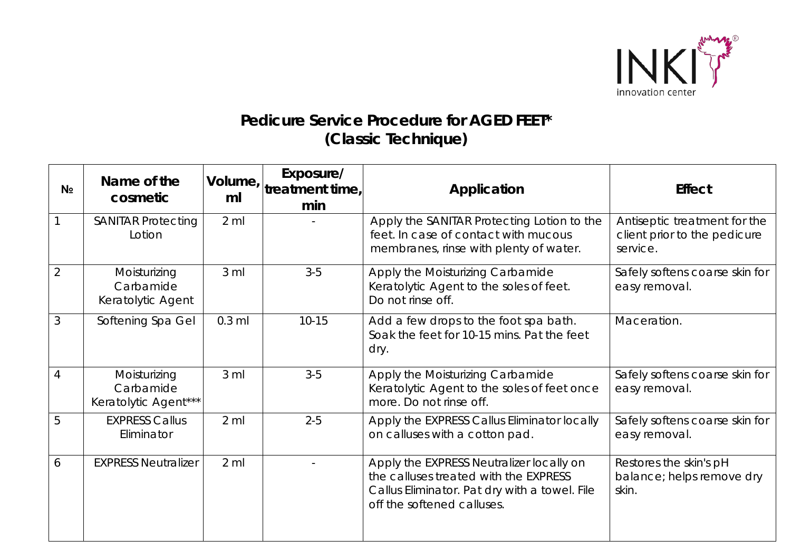

## *Pedicure Service Procedure for* **AGED FEET\* (Classic Technique)**

| N <sub>2</sub> | Name of the<br>cosmetic                           | ml              | Exposure/<br>Volume, $\vert_{\text{treatment time,}}\vert$<br>min | Application                                                                                                                                                      | <b>Effect</b>                                                            |
|----------------|---------------------------------------------------|-----------------|-------------------------------------------------------------------|------------------------------------------------------------------------------------------------------------------------------------------------------------------|--------------------------------------------------------------------------|
|                | <b>SANITAR Protecting</b><br>Lotion               | $2 \mathrm{ml}$ |                                                                   | Apply the SANITAR Protecting Lotion to the<br>feet. In case of contact with mucous<br>membranes, rinse with plenty of water.                                     | Antiseptic treatment for the<br>client prior to the pedicure<br>service. |
| $\overline{2}$ | Moisturizing<br>Carbamide<br>Keratolytic Agent    | 3 <sub>m</sub>  | $3-5$                                                             | Apply the Moisturizing Carbamide<br>Keratolytic Agent to the soles of feet.<br>Do not rinse off.                                                                 | Safely softens coarse skin for<br>easy removal.                          |
| 3              | Softening Spa Gel                                 | $0.3$ ml        | $10 - 15$                                                         | Add a few drops to the foot spa bath.<br>Soak the feet for 10-15 mins. Pat the feet<br>dry.                                                                      | Maceration.                                                              |
| 4              | Moisturizing<br>Carbamide<br>Keratolytic Agent*** | 3 <sub>m</sub>  | $3-5$                                                             | Apply the Moisturizing Carbamide<br>Keratolytic Agent to the soles of feet once<br>more. Do not rinse off.                                                       | Safely softens coarse skin for<br>easy removal.                          |
| 5              | <b>EXPRESS Callus</b><br>Eliminator               | $2 \mathrm{ml}$ | $2 - 5$                                                           | Apply the EXPRESS Callus Eliminator locally<br>on calluses with a cotton pad.                                                                                    | Safely softens coarse skin for<br>easy removal.                          |
| 6              | <b>EXPRESS Neutralizer</b>                        | $2 \mathrm{m}$  |                                                                   | Apply the EXPRESS Neutralizer locally on<br>the calluses treated with the EXPRESS<br>Callus Eliminator. Pat dry with a towel. File<br>off the softened calluses. | Restores the skin's pH<br>balance; helps remove dry<br>skin.             |